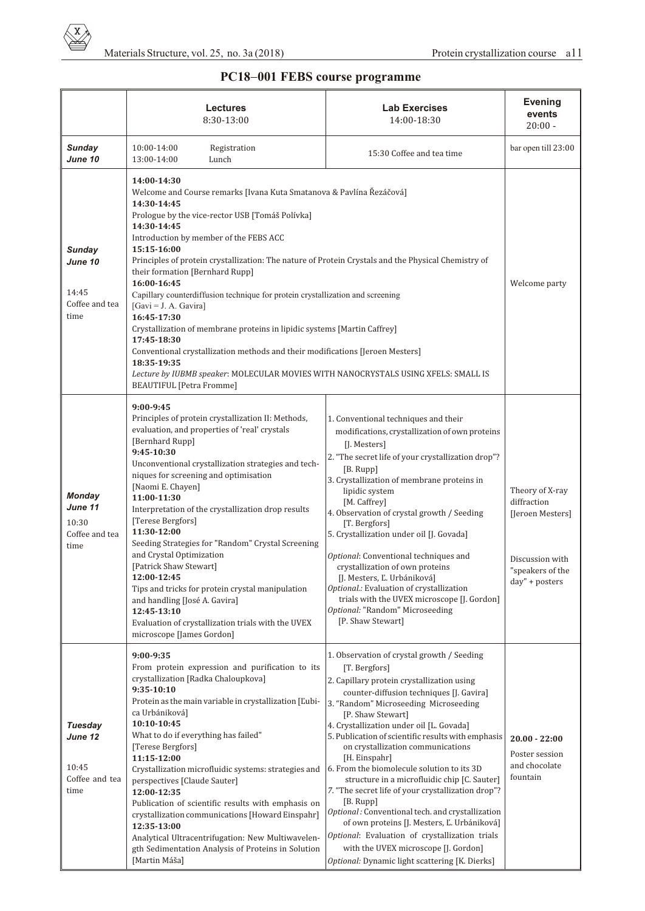

## **PC18 001 FEBS course programme**

|                                                             | <b>Lectures</b><br>8:30-13:00                                                                                                                                                                                                                                                                                                                                                                                                                                                                                                                                                                                                                                                                                                                                                                                                          | <b>Lab Exercises</b><br>14:00-18:30                                                                                                                                                                                                                                                                                                                                                                                                                                                                                                                                                                                                                                                                                                                                                         | <b>Evening</b><br>events<br>$20:00 -$                                                                       |
|-------------------------------------------------------------|----------------------------------------------------------------------------------------------------------------------------------------------------------------------------------------------------------------------------------------------------------------------------------------------------------------------------------------------------------------------------------------------------------------------------------------------------------------------------------------------------------------------------------------------------------------------------------------------------------------------------------------------------------------------------------------------------------------------------------------------------------------------------------------------------------------------------------------|---------------------------------------------------------------------------------------------------------------------------------------------------------------------------------------------------------------------------------------------------------------------------------------------------------------------------------------------------------------------------------------------------------------------------------------------------------------------------------------------------------------------------------------------------------------------------------------------------------------------------------------------------------------------------------------------------------------------------------------------------------------------------------------------|-------------------------------------------------------------------------------------------------------------|
| Sunday<br>June 10                                           | 10:00-14:00<br>Registration<br>13:00-14:00<br>Lunch                                                                                                                                                                                                                                                                                                                                                                                                                                                                                                                                                                                                                                                                                                                                                                                    | 15:30 Coffee and tea time                                                                                                                                                                                                                                                                                                                                                                                                                                                                                                                                                                                                                                                                                                                                                                   | bar open till 23:00                                                                                         |
| Sunday<br>June 10<br>14:45<br>Coffee and tea<br>time        | 14:00-14:30<br>Welcome and Course remarks [Ivana Kuta Smatanova & Pavlína Řezáčová]<br>14:30-14:45<br>Prologue by the vice-rector USB [Tomáš Polívka]<br>14:30-14:45<br>Introduction by member of the FEBS ACC<br>15:15-16:00<br>Principles of protein crystallization: The nature of Protein Crystals and the Physical Chemistry of<br>their formation [Bernhard Rupp]<br>16:00-16:45<br>Capillary counterdiffusion technique for protein crystallization and screening<br>$[Gavi = J. A. Gavira]$<br>16:45-17:30<br>Crystallization of membrane proteins in lipidic systems [Martin Caffrey]<br>17:45-18:30<br>Conventional crystallization methods and their modifications [Jeroen Mesters]<br>18:35-19:35<br>Lecture by IUBMB speaker: MOLECULAR MOVIES WITH NANOCRYSTALS USING XFELS: SMALL IS<br><b>BEAUTIFUL</b> [Petra Fromme] |                                                                                                                                                                                                                                                                                                                                                                                                                                                                                                                                                                                                                                                                                                                                                                                             | Welcome party                                                                                               |
| <b>Monday</b><br>June 11<br>10:30<br>Coffee and tea<br>time | $9:00-9:45$<br>Principles of protein crystallization II: Methods,<br>evaluation, and properties of 'real' crystals<br>[Bernhard Rupp]<br>9:45-10:30<br>Unconventional crystallization strategies and tech-<br>niques for screening and optimisation<br>[Naomi E. Chayen]<br>11:00-11:30<br>Interpretation of the crystallization drop results<br>[Terese Bergfors]<br>11:30-12:00<br>Seeding Strategies for "Random" Crystal Screening<br>and Crystal Optimization<br>[Patrick Shaw Stewart]<br>12:00-12:45<br>Tips and tricks for protein crystal manipulation<br>and handling [José A. Gavira]<br>12:45-13:10<br>Evaluation of crystallization trials with the UVEX<br>microscope [James Gordon]                                                                                                                                     | 1. Conventional techniques and their<br>modifications, crystallization of own proteins<br>[J. Mesters]<br>2. "The secret life of your crystallization drop"?<br>[B. Rupp]<br>3. Crystallization of membrane proteins in<br>lipidic system<br>[M. Caffrey]<br>4. Observation of crystal growth / Seeding<br>[T. Bergfors]<br>5. Crystallization under oil [J. Govada]<br>Optional: Conventional techniques and<br>crystallization of own proteins<br>[J. Mesters, Ľ. Urbániková]<br>Optional.: Evaluation of crystallization<br>trials with the UVEX microscope [J. Gordon]<br>Optional: "Random" Microseeding<br>[P. Shaw Stewart]                                                                                                                                                          | Theory of X-ray<br>diffraction<br>[Jeroen Mesters]<br>Discussion with<br>"speakers of the<br>day" + posters |
| Tuesday<br>June 12<br>10:45<br>Coffee and tea<br>time       | 9:00-9:35<br>From protein expression and purification to its<br>crystallization [Radka Chaloupkova]<br>9:35-10:10<br>Protein as the main variable in crystallization [L'ubi-<br>ca Urbániková]<br>10:10-10:45<br>What to do if everything has failed"<br>[Terese Bergfors]<br>11:15-12:00<br>Crystallization microfluidic systems: strategies and<br>perspectives [Claude Sauter]<br>12:00-12:35<br>Publication of scientific results with emphasis on<br>crystallization communications [Howard Einspahr]<br>12:35-13:00<br>Analytical Ultracentrifugation: New Multiwavelen-<br>gth Sedimentation Analysis of Proteins in Solution<br>[Martin Máša]                                                                                                                                                                                  | 1. Observation of crystal growth / Seeding<br>[T. Bergfors]<br>2. Capillary protein crystallization using<br>counter-diffusion techniques [J. Gavira]<br>3. "Random" Microseeding Microseeding<br>[P. Shaw Stewart]<br>4. Crystallization under oil [L. Govada]<br>5. Publication of scientific results with emphasis<br>on crystallization communications<br>[H. Einspahr]<br>6. From the biomolecule solution to its 3D<br>structure in a microfluidic chip [C. Sauter]<br>7. "The secret life of your crystallization drop"?<br>[B. Rupp]<br>Optional: Conventional tech. and crystallization<br>of own proteins [J. Mesters, L. Urbániková]<br>Optional: Evaluation of crystallization trials<br>with the UVEX microscope [J. Gordon]<br>Optional: Dynamic light scattering [K. Dierks] | $20.00 - 22:00$<br>Poster session<br>and chocolate<br>fountain                                              |